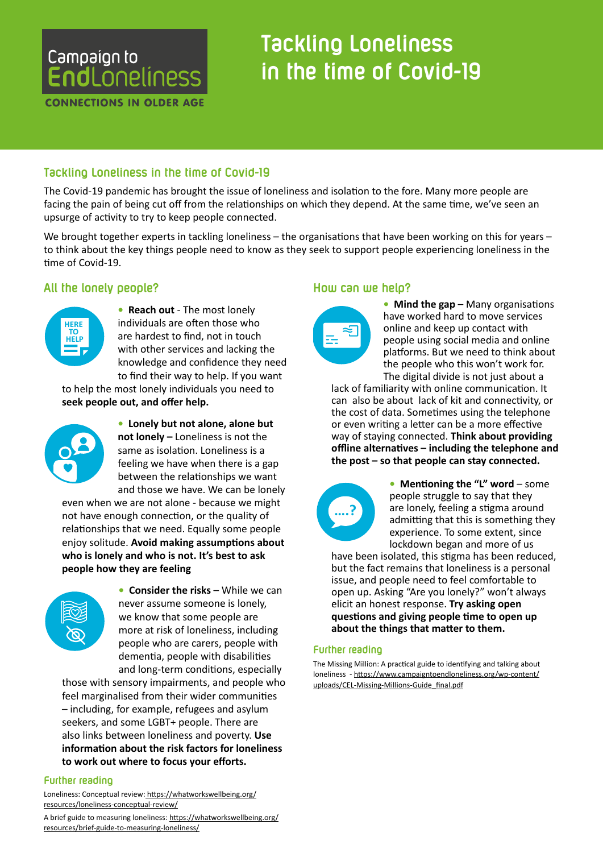## Campaign to **EndLoneliness**

CONNECTIONS IN OLDER AGE

# **Tackling Loneliness in the time of Covid-19**

## Tackling Loneliness in the time of Co<mark>v</mark>id-19

The Covid-19 pandemic has brought the issue of loneliness and isolation to the fore. Many more people are facing the pain of being cut off from the relationships on which they depend. At the same time, we've seen an upsurge of activity to try to keep people connected.

We brought together experts in tackling loneliness – the organisations that have been working on this for years – to think about the key things people need to know as they seek to support people experiencing loneliness in the time of Covid-19. **SUPPORT**

## All the lonely people?



**• Reach out** - The most lonely individuals are often those who are hardest to find, not in touch with other services and lacking the knowledge and confidence they need to find their way to help. If you want

to help the most lonely individuals you need to **seek people out, and offer help.**  rou need t **b AVOID AVOID AVOID AVOID AVOID AVOID AVOID AVOID AVOID AVOID AVOID AVOID AVOID AVOID AVOID AVOID AVOID AVOID AVOID AVOID AVOID AVOID AVOID AVOID AVOID AVOID AVOID A** ely ind



**• Lonely but not alone, alone but not lonely –** Loneliness is not the same as isolation. Loneliness is a feeling we have when there is a gap between the relationships we want and those we have. We can be lonely

even when we are not alone - because we might not have enough connection, or the quality of **PRACTICAL CONSTRAINS CONSTRAINS TO THE PLACE OF PEOPLE enjoy solitude. Avoid making assumptions about who is lonely and who is not. It's best to ask people how they are feeling RELATION** 



**• Consider the risks – While we can** never assume someone is lonely, we know that some people are more at risk of loneliness, including people who are carers, people with dementia, people with disabilities and long-term conditions, especially **AVOID ASSUMPTIONS**

those with sensory impairments, and people who **AT RISK**  feel marginalised from their wider communities – including, for example, refugees and asylum seekers, and some LGBT+ people. There are also links between loneliness and poverty. **Use information about the risk factors for loneliness to work out where to focus your efforts.**

#### **Further reading**

Loneliness: Conceptual review: [https://whatworkswellbeing.org/](https://whatworkswellbeing.org/resources/loneliness-conceptual-review/A) [resources/loneliness-conceptual-review/](https://whatworkswellbeing.org/resources/loneliness-conceptual-review/A)

—————————————————————<br>A brief guide to measuring loneliness: <u>[https://whatworkswellbeing.org/](https://whatworkswellbeing.org/resources/brief-guide-to-measuring-loneliness/)</u> [resources/brief-guide-to-measuring-loneliness/](https://whatworkswellbeing.org/resources/brief-guide-to-measuring-loneliness/) *ALTERNATION* 

#### **How can we help?**



• **Mind the gap** – Many organisations have worked hard to move services online and keep up contact with people using social media and online platforms. But we need to think about the people who this won't work for. The digital divide is not just about a

lack of familiarity with online communication. It can also be about lack of kit and connectivity, or the cost of data. Sometimes using the telephone **AVOID SEEK GROUPS**  or even writing a letter can be a more effective way of staying connected. **Think about providing offline alternatives – including the telephone and**  offline alternatives – including the telephone<br>the post – so that people can stay connected. **ALTER** 



**•** Mentioning the "L" word – some people struggle to say that they are lonely, feeling a stigma around admitting that this is something they experience. To some extent, since lockdown began and more of us

have been isolated, this stigma has been reduced, but the fact remains that loneliness is a personal issue, and people need to feel comfortable to open up. Asking "Are you lonely?" won't always elicit an honest response. **Try asking open questions and giving people time to open up about the things that matter to them.**

#### **Further reading**

The Missing Million: A practical guide to identifying and talking about loneliness - [https://www.campaigntoendloneliness.org/wp-content/](https://www.campaigntoendloneliness.org/wp-content/uploads/CEL-Missing-Millions-Guide_final.pdf) [uploads/CEL-Missing-Millions-Guide\\_final.pdf](https://www.campaigntoendloneliness.org/wp-content/uploads/CEL-Missing-Millions-Guide_final.pdf)